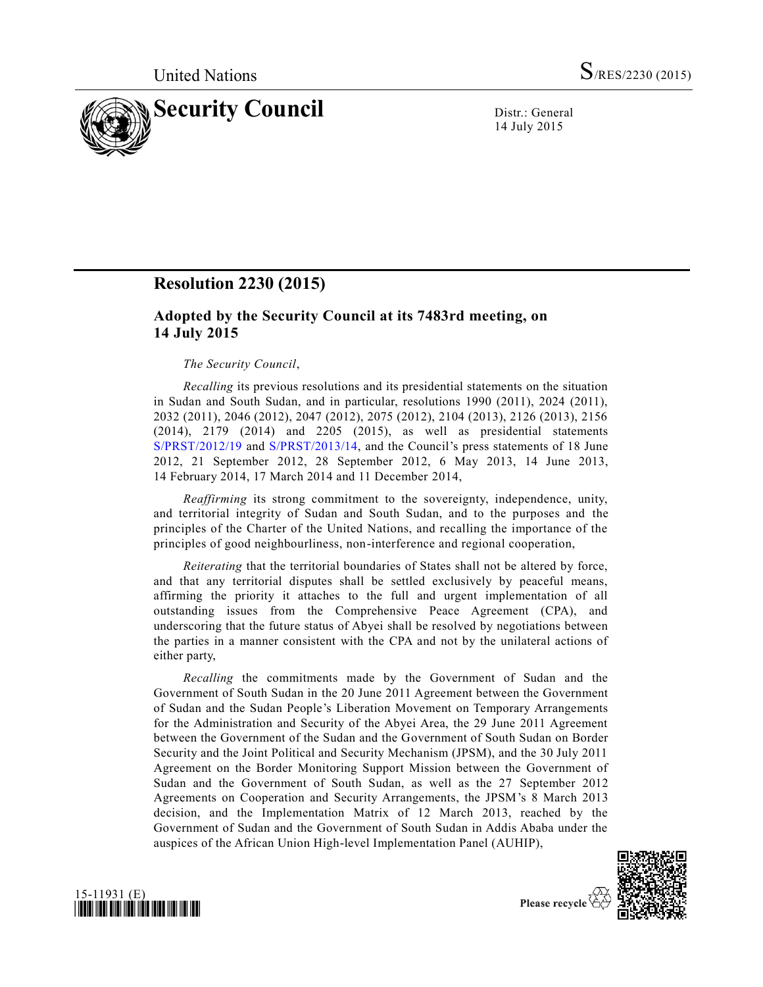

14 July 2015

## **Resolution 2230 (2015)**

## **Adopted by the Security Council at its 7483rd meeting, on 14 July 2015**

## *The Security Council*,

*Recalling* its previous resolutions and its presidential statements on the situation in Sudan and South Sudan, and in particular, resolutions 1990 (2011), 2024 (2011), 2032 (2011), 2046 (2012), 2047 (2012), 2075 (2012), 2104 (2013), 2126 (2013), 2156 (2014), 2179 (2014) and 2205 (2015), as well as presidential statements [S/PRST/2012/19](http://undocs.org/S/PRST/2012/19) and [S/PRST/2013/14,](http://undocs.org/S/PRST/2013/14) and the Council's press statements of 18 June 2012, 21 September 2012, 28 September 2012, 6 May 2013, 14 June 2013, 14 February 2014, 17 March 2014 and 11 December 2014,

*Reaffirming* its strong commitment to the sovereignty, independence, unity, and territorial integrity of Sudan and South Sudan, and to the purposes and the principles of the Charter of the United Nations, and recalling the importance of the principles of good neighbourliness, non-interference and regional cooperation,

*Reiterating* that the territorial boundaries of States shall not be altered by force, and that any territorial disputes shall be settled exclusively by peaceful means, affirming the priority it attaches to the full and urgent implementation of all outstanding issues from the Comprehensive Peace Agreement (CPA), and underscoring that the future status of Abyei shall be resolved by negotiations between the parties in a manner consistent with the CPA and not by the unilateral actions of either party,

*Recalling* the commitments made by the Government of Sudan and the Government of South Sudan in the 20 June 2011 Agreement between the Government of Sudan and the Sudan People's Liberation Movement on Temporary Arrangements for the Administration and Security of the Abyei Area, the 29 June 2011 Agreement between the Government of the Sudan and the Government of South Sudan on Border Security and the Joint Political and Security Mechanism (JPSM), and the 30 July 2011 Agreement on the Border Monitoring Support Mission between the Government of Sudan and the Government of South Sudan, as well as the 27 September 2012 Agreements on Cooperation and Security Arrangements, the JPSM's 8 March 2013 decision, and the Implementation Matrix of 12 March 2013, reached by the Government of Sudan and the Government of South Sudan in Addis Ababa under the auspices of the African Union High-level Implementation Panel (AUHIP),



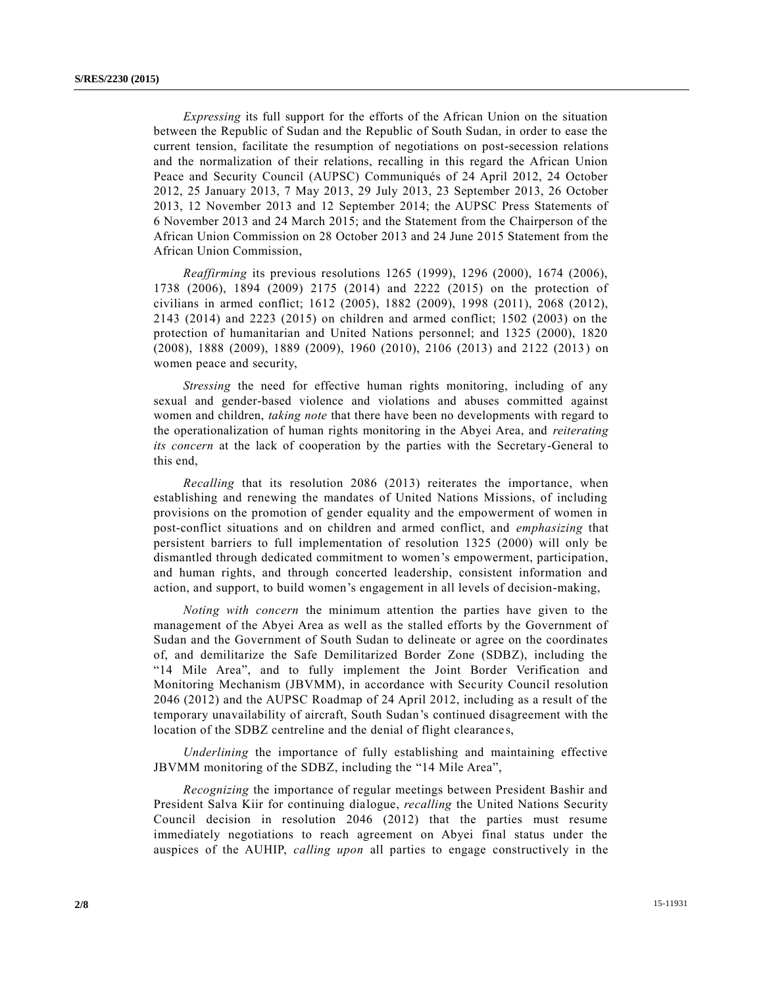*Expressing* its full support for the efforts of the African Union on the situation between the Republic of Sudan and the Republic of South Sudan, in order to ease the current tension, facilitate the resumption of negotiations on post-secession relations and the normalization of their relations, recalling in this regard the African Union Peace and Security Council (AUPSC) Communiqués of 24 April 2012, 24 October 2012, 25 January 2013, 7 May 2013, 29 July 2013, 23 September 2013, 26 October 2013, 12 November 2013 and 12 September 2014; the AUPSC Press Statements of 6 November 2013 and 24 March 2015; and the Statement from the Chairperson of the African Union Commission on 28 October 2013 and 24 June 2015 Statement from the African Union Commission,

*Reaffirming* its previous resolutions 1265 (1999), 1296 (2000), 1674 (2006), 1738 (2006), 1894 (2009) 2175 (2014) and 2222 (2015) on the protection of civilians in armed conflict; 1612 (2005), 1882 (2009), 1998 (2011), 2068 (2012), 2143 (2014) and 2223 (2015) on children and armed conflict; 1502 (2003) on the protection of humanitarian and United Nations personnel; and 1325 (2000), 1820 (2008), 1888 (2009), 1889 (2009), 1960 (2010), 2106 (2013) and 2122 (2013) on women peace and security,

*Stressing* the need for effective human rights monitoring, including of any sexual and gender-based violence and violations and abuses committed against women and children, *taking note* that there have been no developments with regard to the operationalization of human rights monitoring in the Abyei Area, and *reiterating its concern* at the lack of cooperation by the parties with the Secretary-General to this end,

*Recalling* that its resolution 2086 (2013) reiterates the importance, when establishing and renewing the mandates of United Nations Missions, of including provisions on the promotion of gender equality and the empowerment of women in post-conflict situations and on children and armed conflict, and *emphasizing* that persistent barriers to full implementation of resolution 1325 (2000) will only be dismantled through dedicated commitment to women's empowerment, participation, and human rights, and through concerted leadership, consistent information and action, and support, to build women's engagement in all levels of decision-making,

*Noting with concern* the minimum attention the parties have given to the management of the Abyei Area as well as the stalled efforts by the Government of Sudan and the Government of South Sudan to delineate or agree on the coordinates of, and demilitarize the Safe Demilitarized Border Zone (SDBZ), including the "14 Mile Area", and to fully implement the Joint Border Verification and Monitoring Mechanism (JBVMM), in accordance with Security Council resolution 2046 (2012) and the AUPSC Roadmap of 24 April 2012, including as a result of the temporary unavailability of aircraft, South Sudan's continued disagreement with the location of the SDBZ centreline and the denial of flight clearances,

*Underlining* the importance of fully establishing and maintaining effective JBVMM monitoring of the SDBZ, including the "14 Mile Area",

*Recognizing* the importance of regular meetings between President Bashir and President Salva Kiir for continuing dialogue, *recalling* the United Nations Security Council decision in resolution 2046 (2012) that the parties must resume immediately negotiations to reach agreement on Abyei final status under the auspices of the AUHIP, *calling upon* all parties to engage constructively in the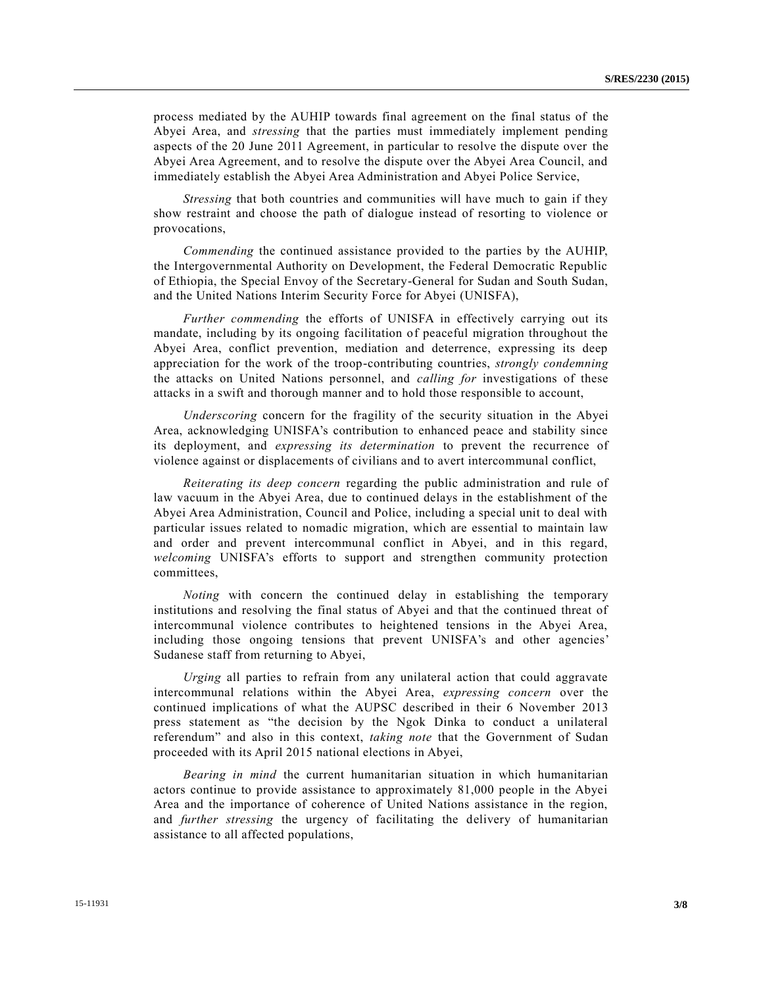process mediated by the AUHIP towards final agreement on the final status of the Abyei Area, and *stressing* that the parties must immediately implement pending aspects of the 20 June 2011 Agreement, in particular to resolve the dispute over the Abyei Area Agreement, and to resolve the dispute over the Abyei Area Council, and immediately establish the Abyei Area Administration and Abyei Police Service,

*Stressing* that both countries and communities will have much to gain if they show restraint and choose the path of dialogue instead of resorting to violence or provocations,

*Commending* the continued assistance provided to the parties by the AUHIP, the Intergovernmental Authority on Development, the Federal Democratic Republic of Ethiopia, the Special Envoy of the Secretary-General for Sudan and South Sudan, and the United Nations Interim Security Force for Abyei (UNISFA),

*Further commending* the efforts of UNISFA in effectively carrying out its mandate, including by its ongoing facilitation of peaceful migration throughout the Abyei Area, conflict prevention, mediation and deterrence, expressing its deep appreciation for the work of the troop-contributing countries, *strongly condemning* the attacks on United Nations personnel, and *calling for* investigations of these attacks in a swift and thorough manner and to hold those responsible to account,

*Underscoring* concern for the fragility of the security situation in the Abyei Area, acknowledging UNISFA's contribution to enhanced peace and stability since its deployment, and *expressing its determination* to prevent the recurrence of violence against or displacements of civilians and to avert intercommunal conflict,

*Reiterating its deep concern* regarding the public administration and rule of law vacuum in the Abyei Area, due to continued delays in the establishment of the Abyei Area Administration, Council and Police, including a special unit to deal with particular issues related to nomadic migration, which are essential to maintain law and order and prevent intercommunal conflict in Abyei, and in this regard, *welcoming* UNISFA's efforts to support and strengthen community protection committees,

*Noting* with concern the continued delay in establishing the temporary institutions and resolving the final status of Abyei and that the continued threat of intercommunal violence contributes to heightened tensions in the Abyei Area, including those ongoing tensions that prevent UNISFA's and other agencies' Sudanese staff from returning to Abyei,

*Urging* all parties to refrain from any unilateral action that could aggravate intercommunal relations within the Abyei Area, *expressing concern* over the continued implications of what the AUPSC described in their 6 November 2013 press statement as "the decision by the Ngok Dinka to conduct a unilateral referendum" and also in this context, *taking note* that the Government of Sudan proceeded with its April 2015 national elections in Abyei,

*Bearing in mind* the current humanitarian situation in which humanitarian actors continue to provide assistance to approximately 81,000 people in the Abyei Area and the importance of coherence of United Nations assistance in the region, and *further stressing* the urgency of facilitating the delivery of humanitarian assistance to all affected populations,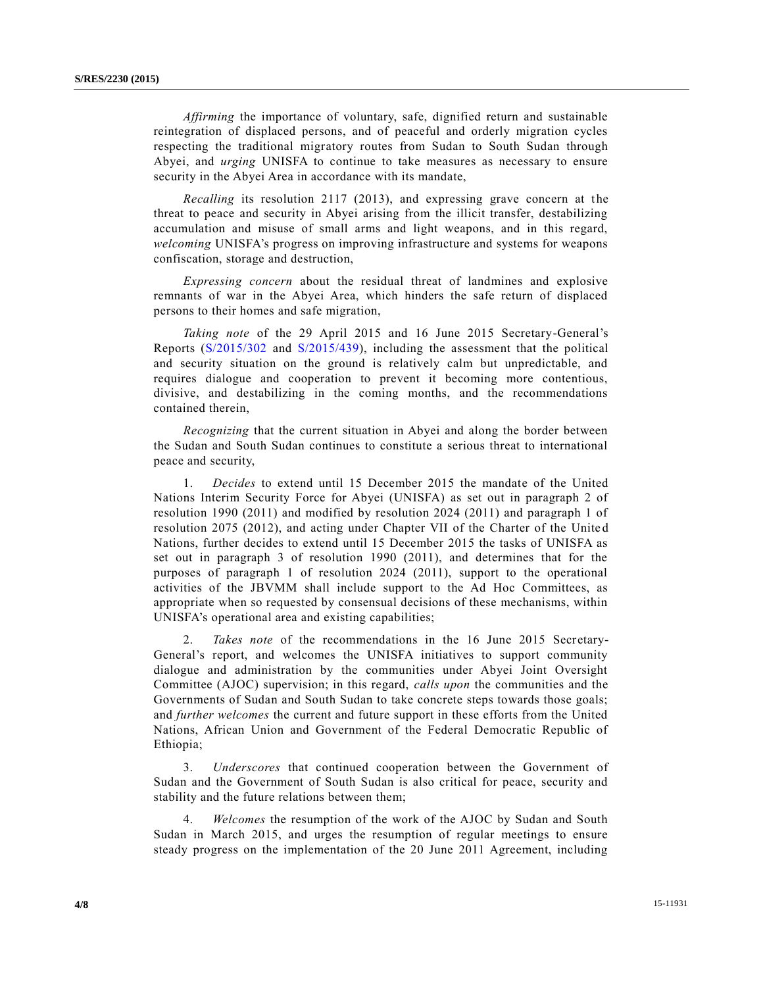*Affirming* the importance of voluntary, safe, dignified return and sustainable reintegration of displaced persons, and of peaceful and orderly migration cycles respecting the traditional migratory routes from Sudan to South Sudan through Abyei, and *urging* UNISFA to continue to take measures as necessary to ensure security in the Abyei Area in accordance with its mandate,

*Recalling* its resolution 2117 (2013), and expressing grave concern at the threat to peace and security in Abyei arising from the illicit transfer, destabilizing accumulation and misuse of small arms and light weapons, and in this regard, *welcoming* UNISFA's progress on improving infrastructure and systems for weapons confiscation, storage and destruction,

*Expressing concern* about the residual threat of landmines and explosive remnants of war in the Abyei Area, which hinders the safe return of displaced persons to their homes and safe migration,

*Taking note* of the 29 April 2015 and 16 June 2015 Secretary-General's Reports [\(S/2015/302](http://undocs.org/S/2015/302) and [S/2015/439\)](http://undocs.org/S/2015/439), including the assessment that the political and security situation on the ground is relatively calm but unpredictable, and requires dialogue and cooperation to prevent it becoming more contentious, divisive, and destabilizing in the coming months, and the recommendations contained therein,

*Recognizing* that the current situation in Abyei and along the border between the Sudan and South Sudan continues to constitute a serious threat to international peace and security,

1. *Decides* to extend until 15 December 2015 the mandate of the United Nations Interim Security Force for Abyei (UNISFA) as set out in paragraph 2 of resolution 1990 (2011) and modified by resolution 2024 (2011) and paragraph 1 of resolution 2075 (2012), and acting under Chapter VII of the Charter of the United Nations, further decides to extend until 15 December 2015 the tasks of UNISFA as set out in paragraph 3 of resolution 1990 (2011), and determines that for the purposes of paragraph 1 of resolution 2024 (2011), support to the operational activities of the JBVMM shall include support to the Ad Hoc Committees, as appropriate when so requested by consensual decisions of these mechanisms, within UNISFA's operational area and existing capabilities;

2. *Takes note* of the recommendations in the 16 June 2015 Secretary-General's report, and welcomes the UNISFA initiatives to support community dialogue and administration by the communities under Abyei Joint Oversight Committee (AJOC) supervision; in this regard, *calls upon* the communities and the Governments of Sudan and South Sudan to take concrete steps towards those goals; and *further welcomes* the current and future support in these efforts from the United Nations, African Union and Government of the Federal Democratic Republic of Ethiopia;

3. *Underscores* that continued cooperation between the Government of Sudan and the Government of South Sudan is also critical for peace, security and stability and the future relations between them;

4. *Welcomes* the resumption of the work of the AJOC by Sudan and South Sudan in March 2015, and urges the resumption of regular meetings to ensure steady progress on the implementation of the 20 June 2011 Agreement, including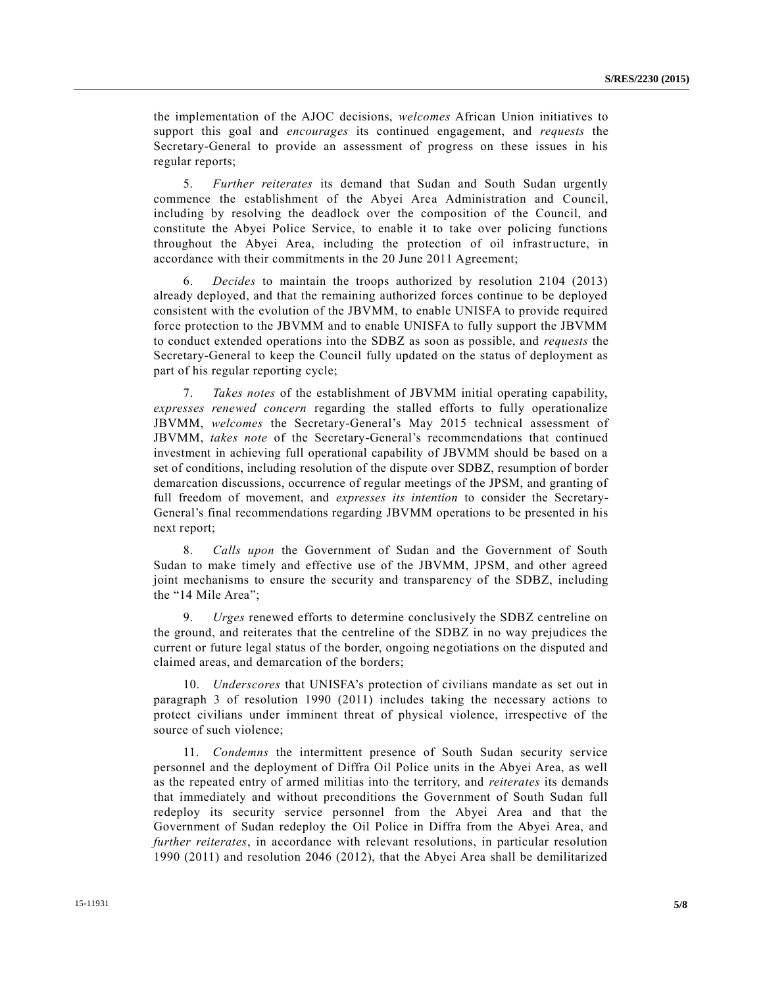the implementation of the AJOC decisions, *welcomes* African Union initiatives to support this goal and *encourages* its continued engagement, and *requests* the Secretary-General to provide an assessment of progress on these issues in his regular reports;

5. *Further reiterates* its demand that Sudan and South Sudan urgently commence the establishment of the Abyei Area Administration and Council, including by resolving the deadlock over the composition of the Council, and constitute the Abyei Police Service, to enable it to take over policing functions throughout the Abyei Area, including the protection of oil infrastructure, in accordance with their commitments in the 20 June 2011 Agreement;

6. *Decides* to maintain the troops authorized by resolution 2104 (2013) already deployed, and that the remaining authorized forces continue to be deployed consistent with the evolution of the JBVMM, to enable UNISFA to provide required force protection to the JBVMM and to enable UNISFA to fully support the JBVMM to conduct extended operations into the SDBZ as soon as possible, and *requests* the Secretary-General to keep the Council fully updated on the status of deployment as part of his regular reporting cycle;

7. *Takes notes* of the establishment of JBVMM initial operating capability, *expresses renewed concern* regarding the stalled efforts to fully operationalize JBVMM, *welcomes* the Secretary-General's May 2015 technical assessment of JBVMM, *takes note* of the Secretary-General's recommendations that continued investment in achieving full operational capability of JBVMM should be based on a set of conditions, including resolution of the dispute over SDBZ, resumption of border demarcation discussions, occurrence of regular meetings of the JPSM, and granting of full freedom of movement, and *expresses its intention* to consider the Secretary-General's final recommendations regarding JBVMM operations to be presented in his next report;

8. *Calls upon* the Government of Sudan and the Government of South Sudan to make timely and effective use of the JBVMM, JPSM, and other agreed joint mechanisms to ensure the security and transparency of the SDBZ, including the "14 Mile Area";

9. *Urges* renewed efforts to determine conclusively the SDBZ centreline on the ground, and reiterates that the centreline of the SDBZ in no way prejudices the current or future legal status of the border, ongoing negotiations on the disputed and claimed areas, and demarcation of the borders;

10. *Underscores* that UNISFA's protection of civilians mandate as set out in paragraph 3 of resolution 1990 (2011) includes taking the necessary actions to protect civilians under imminent threat of physical violence, irrespective of the source of such violence;

11. *Condemns* the intermittent presence of South Sudan security service personnel and the deployment of Diffra Oil Police units in the Abyei Area, as well as the repeated entry of armed militias into the territory, and *reiterates* its demands that immediately and without preconditions the Government of South Sudan full redeploy its security service personnel from the Abyei Area and that the Government of Sudan redeploy the Oil Police in Diffra from the Abyei Area, and *further reiterates*, in accordance with relevant resolutions, in particular resolution 1990 (2011) and resolution 2046 (2012), that the Abyei Area shall be demilitarized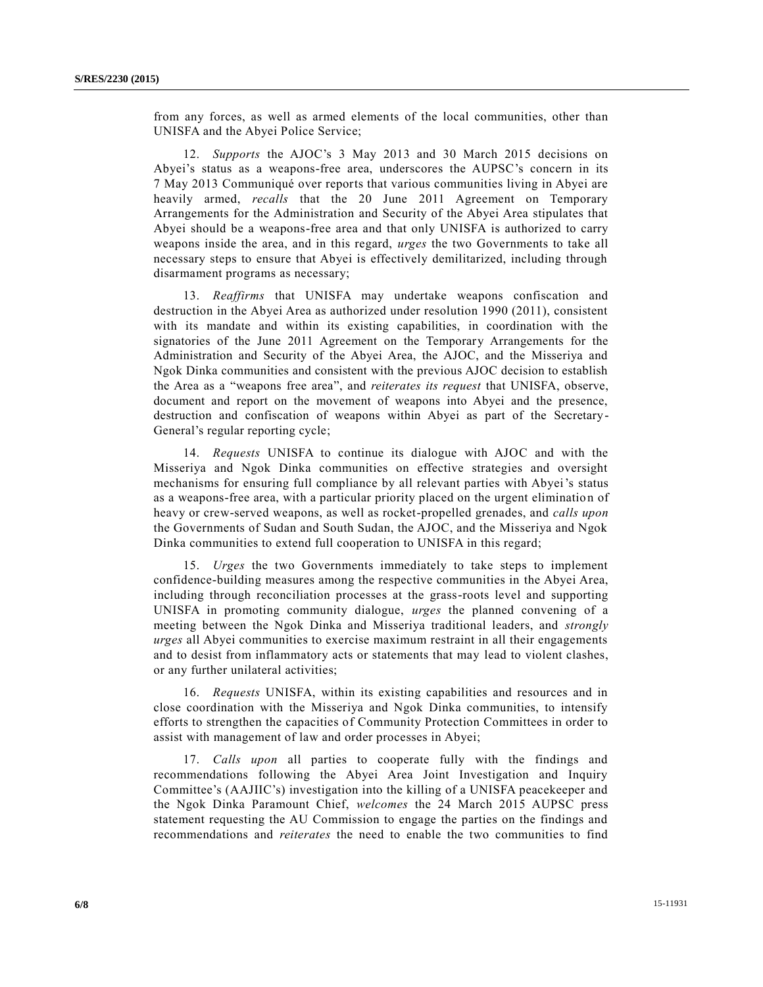from any forces, as well as armed elements of the local communities, other than UNISFA and the Abyei Police Service;

12. *Supports* the AJOC's 3 May 2013 and 30 March 2015 decisions on Abyei's status as a weapons-free area, underscores the AUPSC's concern in its 7 May 2013 Communiqué over reports that various communities living in Abyei are heavily armed, *recalls* that the 20 June 2011 Agreement on Temporary Arrangements for the Administration and Security of the Abyei Area stipulates that Abyei should be a weapons-free area and that only UNISFA is authorized to carry weapons inside the area, and in this regard, *urges* the two Governments to take all necessary steps to ensure that Abyei is effectively demilitarized, including through disarmament programs as necessary;

13. *Reaffirms* that UNISFA may undertake weapons confiscation and destruction in the Abyei Area as authorized under resolution 1990 (2011), consistent with its mandate and within its existing capabilities, in coordination with the signatories of the June 2011 Agreement on the Temporary Arrangements for the Administration and Security of the Abyei Area, the AJOC, and the Misseriya and Ngok Dinka communities and consistent with the previous AJOC decision to establish the Area as a "weapons free area", and *reiterates its request* that UNISFA, observe, document and report on the movement of weapons into Abyei and the presence, destruction and confiscation of weapons within Abyei as part of the Secretary-General's regular reporting cycle;

14. *Requests* UNISFA to continue its dialogue with AJOC and with the Misseriya and Ngok Dinka communities on effective strategies and oversight mechanisms for ensuring full compliance by all relevant parties with Abyei's status as a weapons-free area, with a particular priority placed on the urgent elimination of heavy or crew-served weapons, as well as rocket-propelled grenades, and *calls upon* the Governments of Sudan and South Sudan, the AJOC, and the Misseriya and Ngok Dinka communities to extend full cooperation to UNISFA in this regard;

15. *Urges* the two Governments immediately to take steps to implement confidence-building measures among the respective communities in the Abyei Area, including through reconciliation processes at the grass-roots level and supporting UNISFA in promoting community dialogue, *urges* the planned convening of a meeting between the Ngok Dinka and Misseriya traditional leaders, and *strongly urges* all Abyei communities to exercise maximum restraint in all their engagements and to desist from inflammatory acts or statements that may lead to violent clashes, or any further unilateral activities;

16. *Requests* UNISFA, within its existing capabilities and resources and in close coordination with the Misseriya and Ngok Dinka communities, to intensify efforts to strengthen the capacities of Community Protection Committees in order to assist with management of law and order processes in Abyei;

17. *Calls upon* all parties to cooperate fully with the findings and recommendations following the Abyei Area Joint Investigation and Inquiry Committee's (AAJIIC's) investigation into the killing of a UNISFA peacekeeper and the Ngok Dinka Paramount Chief, *welcomes* the 24 March 2015 AUPSC press statement requesting the AU Commission to engage the parties on the findings and recommendations and *reiterates* the need to enable the two communities to find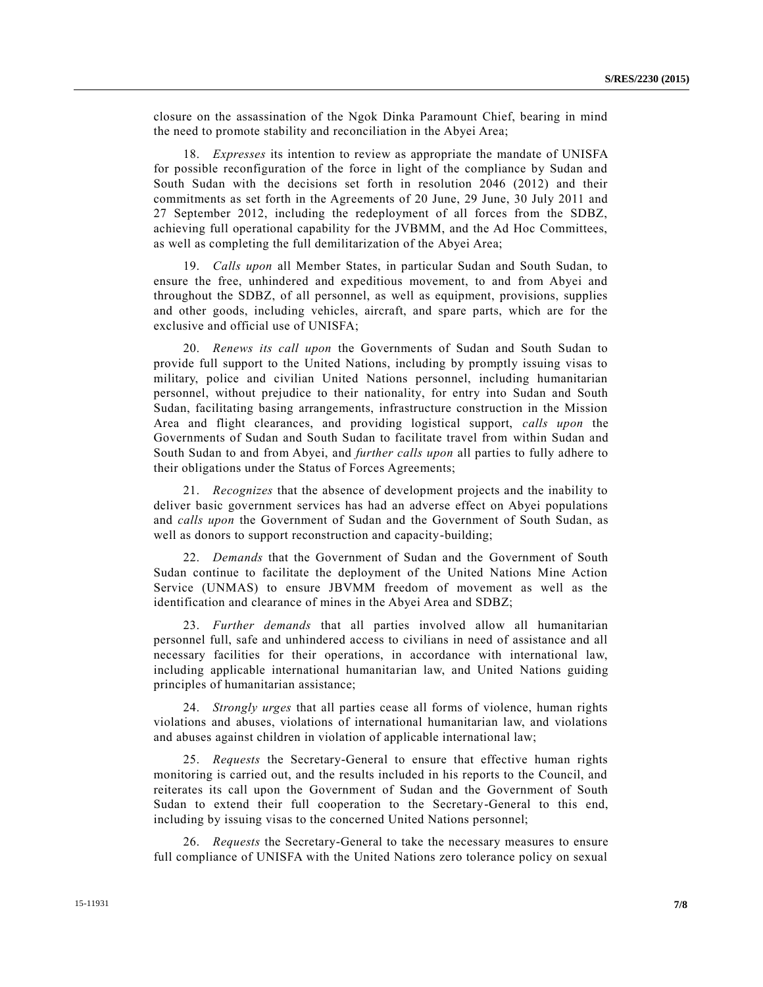closure on the assassination of the Ngok Dinka Paramount Chief, bearing in mind the need to promote stability and reconciliation in the Abyei Area;

18. *Expresses* its intention to review as appropriate the mandate of UNISFA for possible reconfiguration of the force in light of the compliance by Sudan and South Sudan with the decisions set forth in resolution 2046 (2012) and their commitments as set forth in the Agreements of 20 June, 29 June, 30 July 2011 and 27 September 2012, including the redeployment of all forces from the SDBZ, achieving full operational capability for the JVBMM, and the Ad Hoc Committees, as well as completing the full demilitarization of the Abyei Area;

19. *Calls upon* all Member States, in particular Sudan and South Sudan, to ensure the free, unhindered and expeditious movement, to and from Abyei and throughout the SDBZ, of all personnel, as well as equipment, provisions, supplies and other goods, including vehicles, aircraft, and spare parts, which are for the exclusive and official use of UNISFA;

20. *Renews its call upon* the Governments of Sudan and South Sudan to provide full support to the United Nations, including by promptly issuing visas to military, police and civilian United Nations personnel, including humanitarian personnel, without prejudice to their nationality, for entry into Sudan and South Sudan, facilitating basing arrangements, infrastructure construction in the Mission Area and flight clearances, and providing logistical support, *calls upon* the Governments of Sudan and South Sudan to facilitate travel from within Sudan and South Sudan to and from Abyei, and *further calls upon* all parties to fully adhere to their obligations under the Status of Forces Agreements;

21. *Recognizes* that the absence of development projects and the inability to deliver basic government services has had an adverse effect on Abyei populations and *calls upon* the Government of Sudan and the Government of South Sudan, as well as donors to support reconstruction and capacity-building;

22. *Demands* that the Government of Sudan and the Government of South Sudan continue to facilitate the deployment of the United Nations Mine Action Service (UNMAS) to ensure JBVMM freedom of movement as well as the identification and clearance of mines in the Abyei Area and SDBZ;

23. *Further demands* that all parties involved allow all humanitarian personnel full, safe and unhindered access to civilians in need of assistance and all necessary facilities for their operations, in accordance with international law, including applicable international humanitarian law, and United Nations guiding principles of humanitarian assistance;

24. *Strongly urges* that all parties cease all forms of violence, human rights violations and abuses, violations of international humanitarian law, and violations and abuses against children in violation of applicable international law;

25. *Requests* the Secretary-General to ensure that effective human rights monitoring is carried out, and the results included in his reports to the Council, and reiterates its call upon the Government of Sudan and the Government of South Sudan to extend their full cooperation to the Secretary-General to this end, including by issuing visas to the concerned United Nations personnel;

26. *Requests* the Secretary-General to take the necessary measures to ensure full compliance of UNISFA with the United Nations zero tolerance policy on sexual